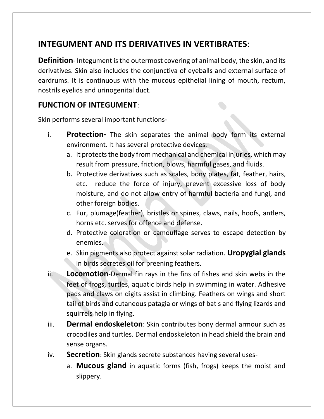# **INTEGUMENT AND ITS DERIVATIVES IN VERTIBRATES**:

**Definition**- Integument is the outermost covering of animal body, the skin, and its derivatives. Skin also includes the conjunctiva of eyeballs and external surface of eardrums. It is continuous with the mucous epithelial lining of mouth, rectum, nostrils eyelids and urinogenital duct.

#### **FUNCTION OF INTEGUMENT**:

Skin performs several important functions-

- i. **Protection-** The skin separates the animal body form its external environment. It has several protective devices.
	- a. It protects the body from mechanical and chemical injuries, which may result from pressure, friction, blows, harmful gases, and fluids.
	- b. Protective derivatives such as scales, bony plates, fat, feather, hairs, etc. reduce the force of injury, prevent excessive loss of body moisture, and do not allow entry of harmful bacteria and fungi, and other foreign bodies.
	- c. Fur, plumage(feather), bristles or spines, claws, nails, hoofs, antlers, horns etc. serves for offence and defense.
	- d. Protective coloration or camouflage serves to escape detection by enemies.
	- e. Skin pigments also protect against solar radiation. **Uropygial glands** in birds secretes oil for preening feathers.
- ii. **Locomotion**-Dermal fin rays in the fins of fishes and skin webs in the feet of frogs, turtles, aquatic birds help in swimming in water. Adhesive pads and claws on digits assist in climbing. Feathers on wings and short tail of birds and cutaneous patagia or wings of bat s and flying lizards and squirrels help in flying.
- iii. **Dermal endoskeleton**: Skin contributes bony dermal armour such as crocodiles and turtles. Dermal endoskeleton in head shield the brain and sense organs.
- iv. **Secretion**: Skin glands secrete substances having several uses
	- a. **Mucous gland** in aquatic forms (fish, frogs) keeps the moist and slippery.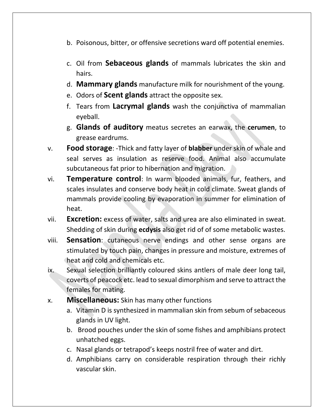- b. Poisonous, bitter, or offensive secretions ward off potential enemies.
- c. Oil from **Sebaceous glands** of mammals lubricates the skin and hairs.
- d. **Mammary glands** manufacture milk for nourishment of the young.
- e. Odors of **Scent glands** attract the opposite sex.
- f. Tears from **Lacrymal glands** wash the conjunctiva of mammalian eyeball.
- g. **Glands of auditory** meatus secretes an earwax, the **cerumen**, to grease eardrums.
- v. **Food storage**: -Thick and fatty layer of **blabber** under skin of whale and seal serves as insulation as reserve food. Animal also accumulate subcutaneous fat prior to hibernation and migration.
- vi. **Temperature control**: In warm blooded animals, fur, feathers, and scales insulates and conserve body heat in cold climate. Sweat glands of mammals provide cooling by evaporation in summer for elimination of heat.
- vii. **Excretion:** excess of water, salts and urea are also eliminated in sweat. Shedding of skin during **ecdysis** also get rid of of some metabolic wastes.
- viii. **Sensation**: cutaneous nerve endings and other sense organs are stimulated by touch pain, changes in pressure and moisture, extremes of heat and cold and chemicals etc.
- ix. Sexual selection brilliantly coloured skins antlers of male deer long tail, coverts of peacock etc. lead to sexual dimorphism and serve to attract the females for mating.
- x. **Miscellaneous:** Skin has many other functions
	- a. Vitamin D is synthesized in mammalian skin from sebum of sebaceous glands in UV light.
	- b. Brood pouches under the skin of some fishes and amphibians protect unhatched eggs.
	- c. Nasal glands or tetrapod's keeps nostril free of water and dirt.
	- d. Amphibians carry on considerable respiration through their richly vascular skin.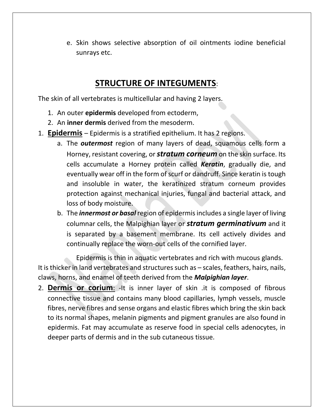e. Skin shows selective absorption of oil ointments iodine beneficial sunrays etc.

## **STRUCTURE OF INTEGUMENTS**:

The skin of all vertebrates is multicellular and having 2 layers.

- 1. An outer **epidermis** developed from ectoderm,
- 2. An **inner dermis** derived from the mesoderm.
- 1. **Epidermis** Epidermis is a stratified epithelium. It has 2 regions.
	- a. The *outermost* region of many layers of dead, squamous cells form a Horney, resistant covering, or *stratum corneum* on the skin surface. Its cells accumulate a Horney protein called *Keratin*, gradually die, and eventually wear off in the form of scurf or dandruff. Since keratin is tough and insoluble in water, the keratinized stratum corneum provides protection against mechanical injuries, fungal and bacterial attack, and loss of body moisture.
	- b. The *innermost or basal* region of epidermisincludes a single layer of living columnar cells, the Malpighian layer or *stratum germinativum* and it is separated by a basement membrane. Its cell actively divides and continually replace the worn-out cells of the cornified layer.

Epidermis is thin in aquatic vertebrates and rich with mucous glands. It is thicker in land vertebrates and structures such as – scales, feathers, hairs, nails, claws, horns, and enamel of teeth derived from the *Malpighian layer*.

2. **Dermis or corium**: -It is inner layer of skin .it is composed of fibrous connective tissue and contains many blood capillaries, lymph vessels, muscle fibres, nerve fibres and sense organs and elastic fibres which bring the skin back to its normal shapes, melanin pigments and pigment granules are also found in epidermis. Fat may accumulate as reserve food in special cells adenocytes, in deeper parts of dermis and in the sub cutaneous tissue.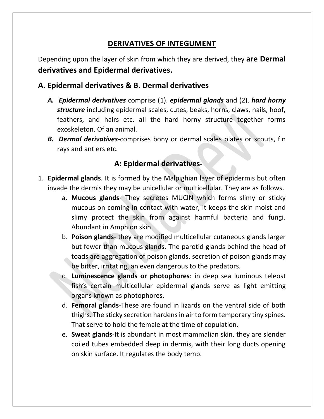## **DERIVATIVES OF INTEGUMENT**

Depending upon the layer of skin from which they are derived, they **are Dermal derivatives and Epidermal derivatives.**

#### **A. Epidermal derivatives & B. Dermal derivatives**

- *A. Epidermal derivatives* comprise (1). *epidermal glands* and (2). *hard horny structure* including epidermal scales, cutes, beaks, horns, claws, nails, hoof, feathers, and hairs etc. all the hard horny structure together forms exoskeleton. Of an animal.
- *B. Dermal derivatives*-comprises bony or dermal scales plates or scouts, fin rays and antlers etc.

## **A: Epidermal derivatives**-

- 1. **Epidermal glands**. It is formed by the Malpighian layer of epidermis but often invade the dermis they may be unicellular or multicellular. They are as follows.
	- a. **Mucous glands** They secretes MUCIN which forms slimy or sticky mucous on coming in contact with water, it keeps the skin moist and slimy protect the skin from against harmful bacteria and fungi. Abundant in Amphion skin.
	- b. **Poison glands** they are modified multicellular cutaneous glands larger but fewer than mucous glands. The parotid glands behind the head of toads are aggregation of poison glands. secretion of poison glands may be bitter, irritating, an even dangerous to the predators.
	- c. **Luminescence glands or photophores**: in deep sea luminous teleost fish's certain multicellular epidermal glands serve as light emitting organs known as photophores.
	- d. **Femoral glands**-These are found in lizards on the ventral side of both thighs. The sticky secretion hardens in air to form temporary tiny spines. That serve to hold the female at the time of copulation.
	- e. **Sweat glands**-It is abundant in most mammalian skin. they are slender coiled tubes embedded deep in dermis, with their long ducts opening on skin surface. It regulates the body temp.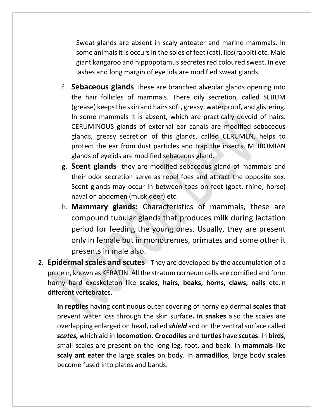Sweat glands are absent in scaly anteater and marine mammals. In some animals it is occurs in the soles of feet (cat), lips(rabbit) etc. Male giant kangaroo and hippopotamus secretes red coloured sweat. In eye lashes and long margin of eye lids are modified sweat glands.

- f. **Sebaceous glands** These are branched alveolar glands opening into the hair follicles of mammals. There oily secretion, called SEBUM (grease) keeps the skin and hairs soft, greasy, waterproof, and glistering. In some mammals it is absent, which are practically devoid of hairs. CERUMINOUS glands of external ear canals are modified sebaceous glands, greasy secretion of this glands, called CERUMEN, helps to protect the ear from dust particles and trap the insects. MEIBOMIAN glands of eyelids are modified sebaceous gland.
- g. **Scent glands** they are modified sebaceous gland of mammals and their odor secretion serve as repel foes and attract the opposite sex. Scent glands may occur in between toes on feet (goat, rhino, horse) naval on abdomen (musk deer) etc.
- h. **Mammary glands:** Characteristics of mammals, these are compound tubular glands that produces milk during lactation period for feeding the young ones. Usually, they are present only in female but in monotremes, primates and some other it presents in male also.
- 2. **Epidermal scales and scutes** They are developed by the accumulation of a protein, known as KERATIN. All the stratum corneum cells are cornified and form horny hard exoskeleton like **scales, hairs, beaks, horns, claws, nails** etc.in different vertebrates.

**In reptiles** having continuous outer covering of horny epidermal **scales** that prevent water loss through the skin surface**. In snakes** also the scales are overlapping enlarged on head, called **shield** and on the ventral surface called *scutes,* which aid in **locomotion. Crocodiles** and **turtles** have **scutes**. In **birds**, small scales are present on the long leg, foot, and beak. In **mammals** like **scaly ant eater** the large **scales** on body. In **armadillos**, large body **scales** become fused into plates and bands.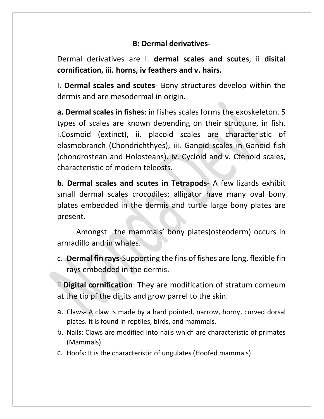## **B: Dermal derivatives**-

Dermal derivatives are I. **dermal scales and scutes**, ii **disital cornification, iii. horns, iv feathers and v. hairs.**

I. **Dermal scales and scutes**- Bony structures develop within the dermis and are mesodermal in origin.

**a. Dermal scales in fishes**: in fishes scales forms the exoskeleton. 5 types of scales are known depending on their structure, in fish. i.Cosmoid (extinct), ii. placoid scales are characteristic of elasmobranch (Chondrichthyes), iii. Ganoid scales in Ganoid fish (chondrostean and Holosteans). iv. Cycloid and v. Ctenoid scales, characteristic of modern teleosts.

**b. Dermal scales and scutes in Tetrapods**- A few lizards exhibit small dermal scales crocodiles; alligator have many oval bony plates embedded in the dermis and turtle large bony plates are present.

Amongst the mammals' bony plates(osteoderm) occurs in armadillo and in whales.

c. **Dermal fin rays**-Supporting the fins of fishes are long, flexible fin rays embedded in the dermis.

ii **Digital cornification**: They are modification of stratum corneum at the tip pf the digits and grow parrel to the skin.

- a. Claws- A claw is made by a hard pointed, narrow, horny, curved dorsal plates. It is found in reptiles, birds, and mammals.
- b. Nails: Claws are modified into nails which are characteristic of primates (Mammals)
- c. Hoofs: It is the characteristic of ungulates (Hoofed mammals).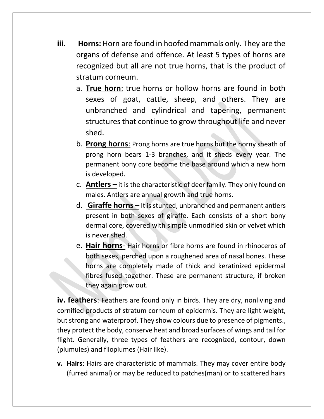- **iii. Horns:** Horn are found in hoofed mammals only. They are the organs of defense and offence. At least 5 types of horns are recognized but all are not true horns, that is the product of stratum corneum.
	- a. **True horn**: true horns or hollow horns are found in both sexes of goat, cattle, sheep, and others. They are unbranched and cylindrical and tapering, permanent structures that continue to grow throughout life and never shed.
	- b. **Prong horns**: Prong horns are true horns but the horny sheath of prong horn bears 1-3 branches, and it sheds every year. The permanent bony core become the base around which a new horn is developed.
	- c. **Antlers** it is the characteristic of deer family. They only found on males. Antlers are annual growth and true horns.
	- d. **Giraffe horns** It is stunted, unbranched and permanent antlers present in both sexes of giraffe. Each consists of a short bony dermal core, covered with simple unmodified skin or velvet which is never shed.
	- e. **Hair horns** Hair horns or fibre horns are found in rhinoceros of both sexes, perched upon a roughened area of nasal bones. These horns are completely made of thick and keratinized epidermal fibres fused together. These are permanent structure, if broken they again grow out.

**iv. feathers**: Feathers are found only in birds. They are dry, nonliving and cornified products of stratum corneum of epidermis. They are light weight, but strong and waterproof. They show colours due to presence of pigments., they protect the body, conserve heat and broad surfaces of wings and tail for flight. Generally, three types of feathers are recognized, contour, down (plumules) and filoplumes (Hair like).

**v. Hairs**: Hairs are characteristic of mammals. They may cover entire body (furred animal) or may be reduced to patches(man) or to scattered hairs